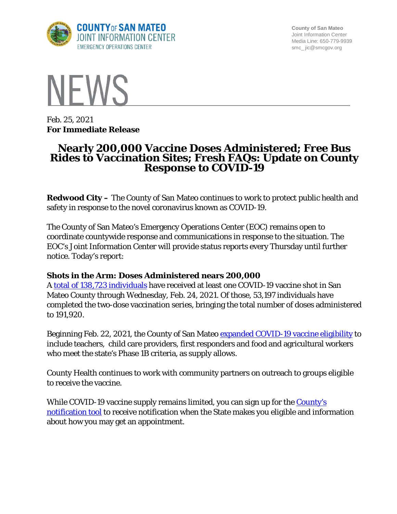

**County of San Mateo** Joint Information Center Media Line: 650-779-9939 smc\_ jic@smcgov.org



Feb. 25, 2021 **For Immediate Release**

# **Nearly 200,000 Vaccine Doses Administered; Free Bus Rides to Vaccination Sites; Fresh FAQs: Update on County Response to COVID-19**

**Redwood City –** The County of San Mateo continues to work to protect public health and safety in response to the novel coronavirus known as COVID-19.

The County of San Mateo's Emergency Operations Center (EOC) remains open to coordinate countywide response and communications in response to the situation. The EOC's Joint Information Center will provide status reports every Thursday until further notice. Today's report:

## **Shots in the Arm: Doses Administered nears 200,000**

A [total of 138,723 individuals](https://www.smchealth.org/data-dashboard/vaccination-totals-locations-data) have received at least one COVID-19 vaccine shot in San Mateo County through Wednesday, Feb. 24, 2021. Of those, 53,197 individuals have completed the two-dose vaccination series, bringing the total number of doses administered to 191,920.

Beginning Feb. 22, 2021, the County of San Mateo [expanded COVID-19 vaccine eligibility](https://www.smcgov.org/press-release/county-moves-expand-covid-19-vaccinations-eligible-essential-workers) to include teachers, child care providers, first responders and food and agricultural workers who meet the state's Phase 1B criteria, as supply allows.

County Health continues to work with community partners on outreach to groups eligible to receive the vaccine.

While COVID-19 vaccine supply remains limited, you can sign up for the County's [notification tool](http://forms.office.com/Pages/ResponsePage.aspx?id=Nfb6DU2gzEin422hrwiD-S6Nu8Fm05tAlD6PWRPnVIxUOUo0N0NUM1VDRUtVMDlBMlZBNFFBOFVNVyQlQCN0PWcu&wdLOR=c539C3515-F3DE-944B-88F3-A8F48EC76AB3) to receive notification when the State makes you eligible and information about how you may get an appointment.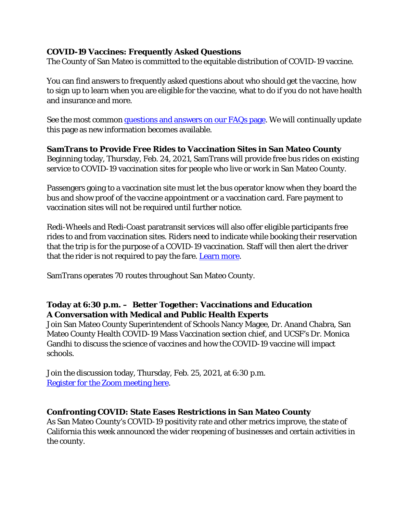# **COVID-19 Vaccines: Frequently Asked Questions**

The County of San Mateo is committed to the equitable distribution of COVID-19 vaccine.

You can find answers to frequently asked questions about who should get the vaccine, how to sign up to learn when you are eligible for the vaccine, what to do if you do not have health and insurance and more.

See the most common [questions and answers on our FAQs page.](https://cmo.smcgov.org/press-release/covid-19-vaccines-frequently-asked-questions) We will continually update this page as new information becomes available.

## **SamTrans to Provide Free Rides to Vaccination Sites in San Mateo County**

Beginning today, Thursday, Feb. 24, 2021, SamTrans will provide free bus rides on existing service to COVID-19 vaccination sites for people who live or work in San Mateo County.

Passengers going to a vaccination site must let the bus operator know when they board the bus and show proof of the vaccine appointment or a vaccination card. Fare payment to vaccination sites will not be required until further notice.

Redi-Wheels and Redi-Coast paratransit services will also offer eligible participants free rides to and from vaccination sites. Riders need to indicate while booking their reservation that the trip is for the purpose of a COVID-19 vaccination. Staff will then alert the driver that the rider is not required to pay the fare. [Learn more.](https://www.samtrans.com/about/MediaRelations/news/SamTrans_to_Provide_Free_Rides_to_Vaccination_Sites_in_San_Mateo_County.html)

SamTrans operates 70 routes throughout San Mateo County.

# **Today at 6:30 p.m. – Better Together: Vaccinations and Education A Conversation with Medical and Public Health Experts**

Join San Mateo County Superintendent of Schools Nancy Magee, Dr. Anand Chabra, San Mateo County Health COVID-19 Mass Vaccination section chief, and UCSF's Dr. Monica Gandhi to discuss the science of vaccines and how the COVID-19 vaccine will impact schools.

Join the discussion today, Thursday, Feb. 25, 2021, at 6:30 p.m. Register for [the Zoom meeting here.](https://smcoe.zoom.us/webinar/register/WN_VgVA7MnORJSkXK8zf3Sb6g?fbclid=IwAR1f_Ulb2BMvb8L91m1U60fB4yEK6LHPNtS8enXATnsFPxoVF9czk6Quq1E)

## **Confronting COVID: State Eases Restrictions in San Mateo County**

As San Mateo County's COVID-19 positivity rate and other metrics improve, the state of California this week announced the wider reopening of businesses and certain activities in the county.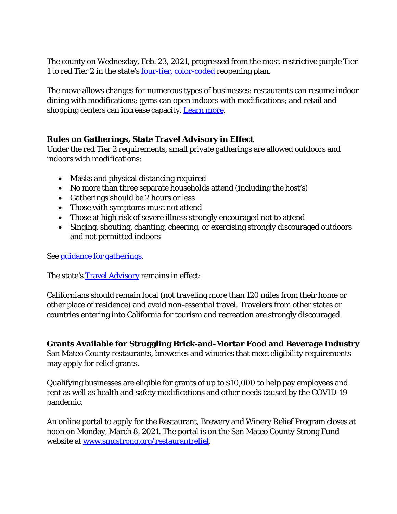The county on Wednesday, Feb. 23, 2021, progressed from the most-restrictive purple Tier 1 to red Tier 2 in the state's <u>four-tier, color-coded</u> reopening plan.

The move allows changes for numerous types of businesses: restaurants can resume indoor dining with modifications; gyms can open indoors with modifications; and retail and shopping centers can increase capacity. [Learn more.](https://cmo.smcgov.org/press-release/feb-23-2021-confronting-covid-state-loosens-restrictions-san-mateo-county)

## **Rules on Gatherings, State Travel Advisory in Effect**

Under the red Tier 2 requirements, small private gatherings are allowed outdoors and indoors with modifications:

- Masks and physical distancing required
- No more than three separate households attend (including the host's)
- Gatherings should be 2 hours or less
- Those with symptoms must not attend
- Those at high risk of severe illness strongly encouraged not to attend
- Singing, shouting, chanting, cheering, or exercising strongly discouraged outdoors and not permitted indoors

See [guidance for gatherings.](https://www.cdph.ca.gov/Programs/CID/DCDC/Pages/COVID-19/Guidance-for-the-Prevention-of-COVID-19-Transmission-for-Gatherings-November-2020.aspx)

The state's [Travel Advisory](https://www.cdph.ca.gov/Programs/CID/DCDC/Pages/COVID-19/Travel-Advisory.aspx) remains in effect:

Californians should remain local (not traveling more than 120 miles from their home or other place of residence) and avoid non-essential travel. Travelers from other states or countries entering into California for tourism and recreation are strongly discouraged.

**Grants Available for Struggling Brick-and-Mortar Food and Beverage Industry** San Mateo County restaurants, breweries and wineries that meet eligibility requirements may apply for relief grants.

Qualifying businesses are eligible for grants of up to \$10,000 to help pay employees and rent as well as health and safety modifications and other needs caused by the COVID-19 pandemic.

An online portal to apply for the Restaurant, Brewery and Winery Relief Program closes at noon on Monday, March 8, 2021. The portal is on the San Mateo County Strong Fund website at [www.smcstrong.org/restaurantrelief.](http://www.smcstrong.org/restaurantrelief)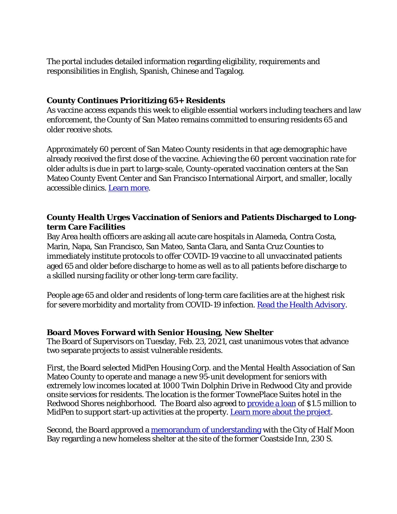The portal includes detailed information regarding eligibility, requirements and responsibilities in English, Spanish, Chinese and Tagalog.

#### **County Continues Prioritizing 65+ Residents**

As vaccine access expands this week to eligible essential workers including teachers and law enforcement, the County of San Mateo remains committed to ensuring residents 65 and older receive shots.

Approximately 60 percent of San Mateo County residents in that age demographic have already received the first dose of the vaccine. Achieving the 60 percent vaccination rate for older adults is due in part to large-scale, County-operated vaccination centers at the San Mateo County Event Center and San Francisco International Airport, and smaller, locally accessible clinics. [Learn more.](https://cmo.smcgov.org/press-release/feb-22-2021-county-san-mateo-continues-prioritizing-65-residents-vaccine-eligibility)

## **County Health Urges Vaccination of Seniors and Patients Discharged to Longterm Care Facilities**

Bay Area health officers are asking all acute care hospitals in Alameda, Contra Costa, Marin, Napa, San Francisco, San Mateo, Santa Clara, and Santa Cruz Counties to immediately institute protocols to offer COVID-19 vaccine to all unvaccinated patients aged 65 and older before discharge to home as well as to all patients before discharge to a skilled nursing facility or other long-term care facility.

People age 65 and older and residents of long-term care facilities are at the highest risk for severe morbidity and mortality from COVID-19 infection. [Read the Health Advisory.](https://www.smchealth.org/sites/main/files/file-attachments/health_advisory_vaccinating_65_at_discharge.pdf?1614112016)

#### **Board Moves Forward with Senior Housing, New Shelter**

The Board of Supervisors on Tuesday, Feb. 23, 2021, cast unanimous votes that advance two separate projects to assist vulnerable residents.

First, the Board selected MidPen Housing Corp. and the Mental Health Association of San Mateo County to operate and manage a new 95-unit development for seniors with extremely low incomes located at 1000 Twin Dolphin Drive in Redwood City and provide onsite services for residents. The location is the former TownePlace Suites hotel in the Redwood Shores neighborhood. The Board also agreed to **provide a loan** of \$1.5 million to MidPen to support start-up activities at the property. [Learn more about the project.](https://smcgov.org/project-homekey-towneplace-suites-hotel)

Second, the Board approved a [memorandum of understanding](https://sanmateocounty.legistar.com/LegislationDetail.aspx?ID=4804518&GUID=2176CBFB-0177-4E03-8C7F-4B1CA8A6A8C1&FullText=1) with the City of Half Moon Bay regarding a new homeless shelter at the site of the former Coastside Inn, 230 S.